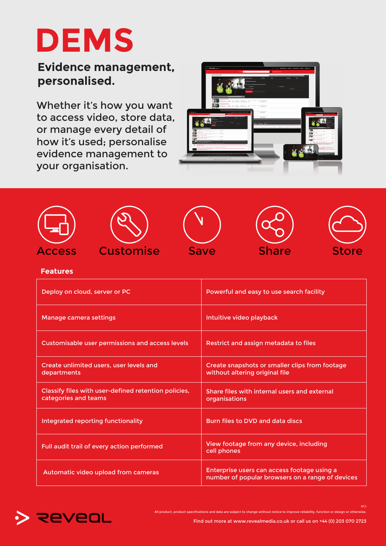# **DEMS**

# **Evidence management, personalised.**

Whether it's how you want to access video, store data, or manage every detail of how it's used; personalise evidence management to your organisation.





#### **Features**

| Deploy on cloud, server or PC                                                | Powerful and easy to use search facility                                                        |
|------------------------------------------------------------------------------|-------------------------------------------------------------------------------------------------|
| Manage camera settings                                                       | Intuitive video playback                                                                        |
| Customisable user permissions and access levels                              | Restrict and assign metadata to files                                                           |
| Create unlimited users, user levels and<br>departments                       | Create snapshots or smaller clips from footage<br>without altering original file                |
| Classify files with user-defined retention policies,<br>categories and teams | Share files with internal users and external<br>organisations                                   |
| Integrated reporting functionality                                           | Burn files to DVD and data discs                                                                |
| Full audit trail of every action performed                                   | View footage from any device, including<br>cell phones                                          |
| Automatic video upload from cameras                                          | Enterprise users can access footage using a<br>number of popular browsers on a range of devices |



All product, product specifications and data are subject to change without notice to improve reliability, function or design or otherwise. V1.1

Find out more at www.revealmedia.co.uk or call us on +44 (0) 203 070 2723